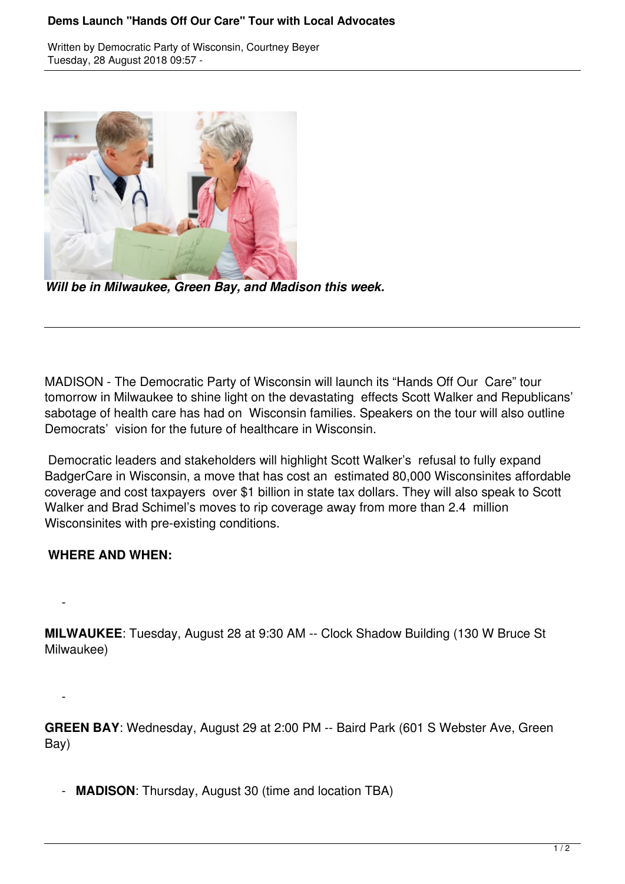## **Dems Launch "Hands Off Our Care" Tour with Local Advocates**

Written by Democratic Party of Wisconsin, Courtney Beyer Tuesday, 28 August 2018 09:57 -



*Will be in Milwaukee, Green Bay, and Madison this week.*

MADISON - The Democratic Party of Wisconsin will launch its "Hands Off Our Care" tour tomorrow in Milwaukee to shine light on the devastating effects Scott Walker and Republicans' sabotage of health care has had on Wisconsin families. Speakers on the tour will also outline Democrats' vision for the future of healthcare in Wisconsin.

 Democratic leaders and stakeholders will highlight Scott Walker's refusal to fully expand BadgerCare in Wisconsin, a move that has cost an estimated 80,000 Wisconsinites affordable coverage and cost taxpayers over \$1 billion in state tax dollars. They will also speak to Scott Walker and Brad Schimel's moves to rip coverage away from more than 2.4 million Wisconsinites with pre-existing conditions.

## **WHERE AND WHEN:**

 $\sim$   $-$ 

 $\sim$   $-$ 

**MILWAUKEE**: Tuesday, August 28 at 9:30 AM -- Clock Shadow Building (130 W Bruce St Milwaukee)

**GREEN BAY**: Wednesday, August 29 at 2:00 PM -- Baird Park (601 S Webster Ave, Green Bay)

- **MADISON**: Thursday, August 30 (time and location TBA)